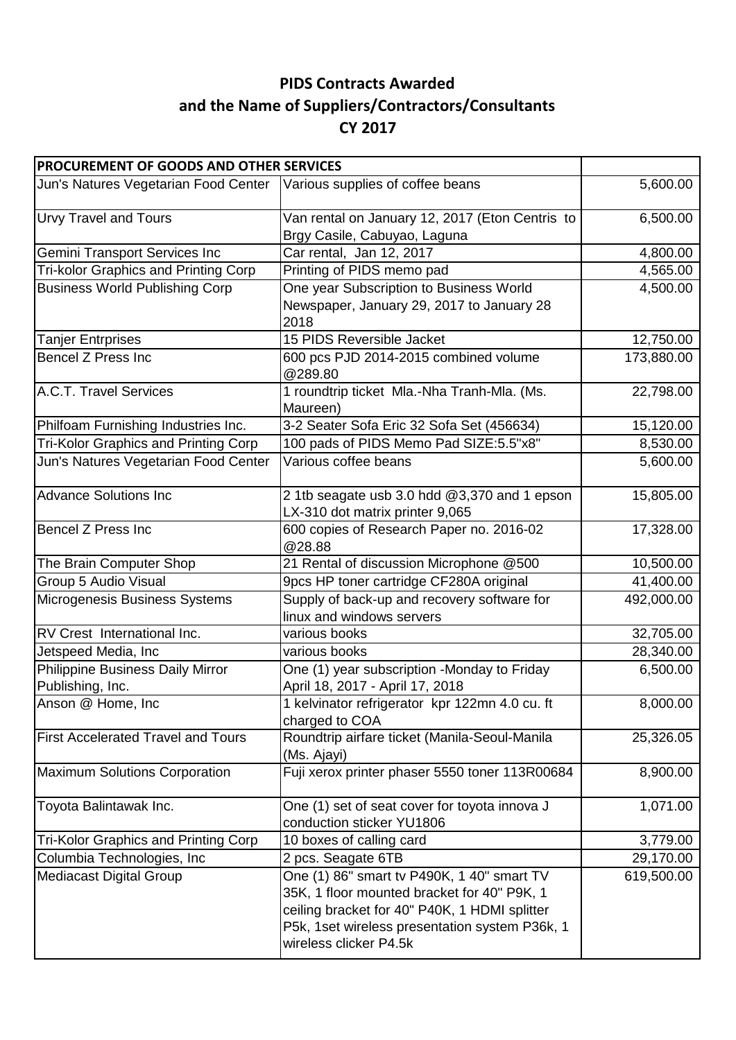## **PIDS Contracts Awarded and the Name of Suppliers/Contractors/Consultants CY 2017**

| PROCUREMENT OF GOODS AND OTHER SERVICES                                 |                                                                                                                                                                                                                        |            |
|-------------------------------------------------------------------------|------------------------------------------------------------------------------------------------------------------------------------------------------------------------------------------------------------------------|------------|
| Jun's Natures Vegetarian Food Center   Various supplies of coffee beans |                                                                                                                                                                                                                        | 5,600.00   |
| <b>Urvy Travel and Tours</b>                                            | Van rental on January 12, 2017 (Eton Centris to<br>Brgy Casile, Cabuyao, Laguna                                                                                                                                        | 6,500.00   |
| <b>Gemini Transport Services Inc</b>                                    | Car rental, Jan 12, 2017                                                                                                                                                                                               | 4,800.00   |
| <b>Tri-kolor Graphics and Printing Corp</b>                             | Printing of PIDS memo pad                                                                                                                                                                                              | 4,565.00   |
| <b>Business World Publishing Corp</b>                                   | One year Subscription to Business World<br>Newspaper, January 29, 2017 to January 28<br>2018                                                                                                                           | 4,500.00   |
| <b>Tanjer Entrprises</b>                                                | 15 PIDS Reversible Jacket                                                                                                                                                                                              | 12,750.00  |
| Bencel Z Press Inc                                                      | 600 pcs PJD 2014-2015 combined volume<br>@289.80                                                                                                                                                                       | 173,880.00 |
| A.C.T. Travel Services                                                  | 1 roundtrip ticket Mla.-Nha Tranh-Mla. (Ms.<br>Maureen)                                                                                                                                                                | 22,798.00  |
| Philfoam Furnishing Industries Inc.                                     | 3-2 Seater Sofa Eric 32 Sofa Set (456634)                                                                                                                                                                              | 15,120.00  |
| <b>Tri-Kolor Graphics and Printing Corp</b>                             | 100 pads of PIDS Memo Pad SIZE:5.5"x8"                                                                                                                                                                                 | 8,530.00   |
| Jun's Natures Vegetarian Food Center                                    | Various coffee beans                                                                                                                                                                                                   | 5,600.00   |
| <b>Advance Solutions Inc</b>                                            | 2 1tb seagate usb 3.0 hdd @3,370 and 1 epson<br>LX-310 dot matrix printer 9,065                                                                                                                                        | 15,805.00  |
| <b>Bencel Z Press Inc</b>                                               | 600 copies of Research Paper no. 2016-02<br>@28.88                                                                                                                                                                     | 17,328.00  |
| The Brain Computer Shop                                                 | 21 Rental of discussion Microphone @500                                                                                                                                                                                | 10,500.00  |
| Group 5 Audio Visual                                                    | 9pcs HP toner cartridge CF280A original                                                                                                                                                                                | 41,400.00  |
| Microgenesis Business Systems                                           | Supply of back-up and recovery software for<br>linux and windows servers                                                                                                                                               | 492,000.00 |
| RV Crest International Inc.                                             | various books                                                                                                                                                                                                          | 32,705.00  |
| Jetspeed Media, Inc                                                     | various books                                                                                                                                                                                                          | 28,340.00  |
| Philippine Business Daily Mirror<br>Publishing, Inc.                    | One (1) year subscription -Monday to Friday<br>April 18, 2017 - April 17, 2018                                                                                                                                         | 6,500.00   |
| Anson @ Home, Inc                                                       | 1 kelvinator refrigerator kpr 122mn 4.0 cu. ft<br>charged to COA                                                                                                                                                       | 8,000.00   |
| <b>First Accelerated Travel and Tours</b>                               | Roundtrip airfare ticket (Manila-Seoul-Manila<br>(Ms. Ajayi)                                                                                                                                                           | 25,326.05  |
| <b>Maximum Solutions Corporation</b>                                    | Fuji xerox printer phaser 5550 toner 113R00684                                                                                                                                                                         | 8,900.00   |
| Toyota Balintawak Inc.                                                  | One (1) set of seat cover for toyota innova J<br>conduction sticker YU1806                                                                                                                                             | 1,071.00   |
| <b>Tri-Kolor Graphics and Printing Corp</b>                             | 10 boxes of calling card                                                                                                                                                                                               | 3,779.00   |
| Columbia Technologies, Inc                                              | 2 pcs. Seagate 6TB                                                                                                                                                                                                     | 29,170.00  |
| <b>Mediacast Digital Group</b>                                          | One (1) 86" smart tv P490K, 1 40" smart TV<br>35K, 1 floor mounted bracket for 40" P9K, 1<br>ceiling bracket for 40" P40K, 1 HDMI splitter<br>P5k, 1set wireless presentation system P36k, 1<br>wireless clicker P4.5k | 619,500.00 |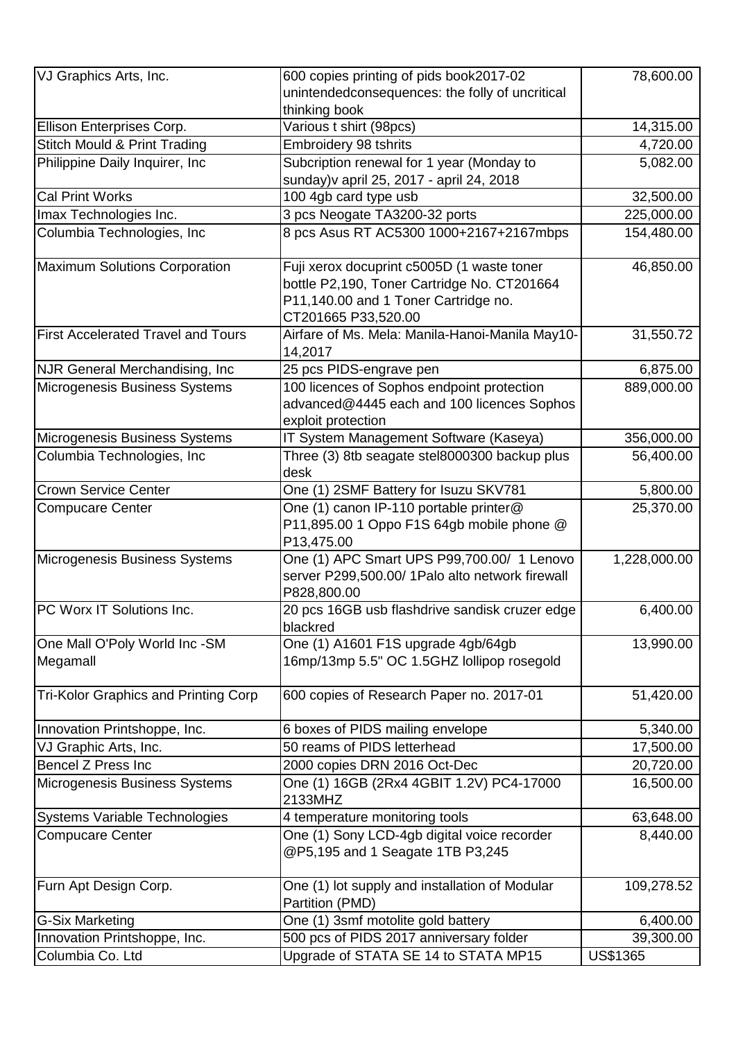| VJ Graphics Arts, Inc.                      | 600 copies printing of pids book2017-02<br>unintendedconsequences: the folly of uncritical                                                               | 78,600.00    |
|---------------------------------------------|----------------------------------------------------------------------------------------------------------------------------------------------------------|--------------|
|                                             | thinking book                                                                                                                                            |              |
| Ellison Enterprises Corp.                   | Various t shirt (98pcs)                                                                                                                                  | 14,315.00    |
| <b>Stitch Mould &amp; Print Trading</b>     | Embroidery 98 tshrits                                                                                                                                    | 4,720.00     |
| Philippine Daily Inquirer, Inc.             | Subcription renewal for 1 year (Monday to<br>sunday) v april 25, 2017 - april 24, 2018                                                                   | 5,082.00     |
| <b>Cal Print Works</b>                      | 100 4gb card type usb                                                                                                                                    | 32,500.00    |
| Imax Technologies Inc.                      | 3 pcs Neogate TA3200-32 ports                                                                                                                            | 225,000.00   |
| Columbia Technologies, Inc                  | 8 pcs Asus RT AC5300 1000+2167+2167mbps                                                                                                                  | 154,480.00   |
| Maximum Solutions Corporation               | Fuji xerox docuprint c5005D (1 waste toner<br>bottle P2,190, Toner Cartridge No. CT201664<br>P11,140.00 and 1 Toner Cartridge no.<br>CT201665 P33,520.00 | 46,850.00    |
| <b>First Accelerated Travel and Tours</b>   | Airfare of Ms. Mela: Manila-Hanoi-Manila May10-<br>14,2017                                                                                               | 31,550.72    |
| <b>NJR General Merchandising, Inc</b>       | 25 pcs PIDS-engrave pen                                                                                                                                  | 6,875.00     |
| Microgenesis Business Systems               | 100 licences of Sophos endpoint protection<br>advanced@4445 each and 100 licences Sophos<br>exploit protection                                           | 889,000.00   |
| Microgenesis Business Systems               | IT System Management Software (Kaseya)                                                                                                                   | 356,000.00   |
| Columbia Technologies, Inc                  | Three (3) 8tb seagate stel8000300 backup plus<br>desk                                                                                                    | 56,400.00    |
| <b>Crown Service Center</b>                 | One (1) 2SMF Battery for Isuzu SKV781                                                                                                                    | 5,800.00     |
| <b>Compucare Center</b>                     | One (1) canon IP-110 portable printer@<br>P11,895.00 1 Oppo F1S 64gb mobile phone @<br>P13,475.00                                                        | 25,370.00    |
| Microgenesis Business Systems               | One (1) APC Smart UPS P99,700.00/ 1 Lenovo<br>server P299,500.00/ 1Palo alto network firewall<br>P828,800.00                                             | 1,228,000.00 |
| PC Worx IT Solutions Inc.                   | 20 pcs 16GB usb flashdrive sandisk cruzer edge<br>blackred                                                                                               | 6,400.00     |
| One Mall O'Poly World Inc -SM<br>Megamall   | One (1) A1601 F1S upgrade 4gb/64gb<br>16mp/13mp 5.5" OC 1.5GHZ lollipop rosegold                                                                         | 13,990.00    |
| <b>Tri-Kolor Graphics and Printing Corp</b> | 600 copies of Research Paper no. 2017-01                                                                                                                 | 51,420.00    |
| Innovation Printshoppe, Inc.                | 6 boxes of PIDS mailing envelope                                                                                                                         | 5,340.00     |
| VJ Graphic Arts, Inc.                       | 50 reams of PIDS letterhead                                                                                                                              | 17,500.00    |
| <b>Bencel Z Press Inc</b>                   | 2000 copies DRN 2016 Oct-Dec                                                                                                                             | 20,720.00    |
| Microgenesis Business Systems               | One (1) 16GB (2Rx4 4GBIT 1.2V) PC4-17000<br>2133MHZ                                                                                                      | 16,500.00    |
| Systems Variable Technologies               | 4 temperature monitoring tools                                                                                                                           | 63,648.00    |
| <b>Compucare Center</b>                     | One (1) Sony LCD-4gb digital voice recorder<br>@P5,195 and 1 Seagate 1TB P3,245                                                                          | 8,440.00     |
| Furn Apt Design Corp.                       | One (1) lot supply and installation of Modular<br>Partition (PMD)                                                                                        | 109,278.52   |
| <b>G-Six Marketing</b>                      | One (1) 3smf motolite gold battery                                                                                                                       | 6,400.00     |
| Innovation Printshoppe, Inc.                | 500 pcs of PIDS 2017 anniversary folder                                                                                                                  | 39,300.00    |
| Columbia Co. Ltd                            | Upgrade of STATA SE 14 to STATA MP15                                                                                                                     | US\$1365     |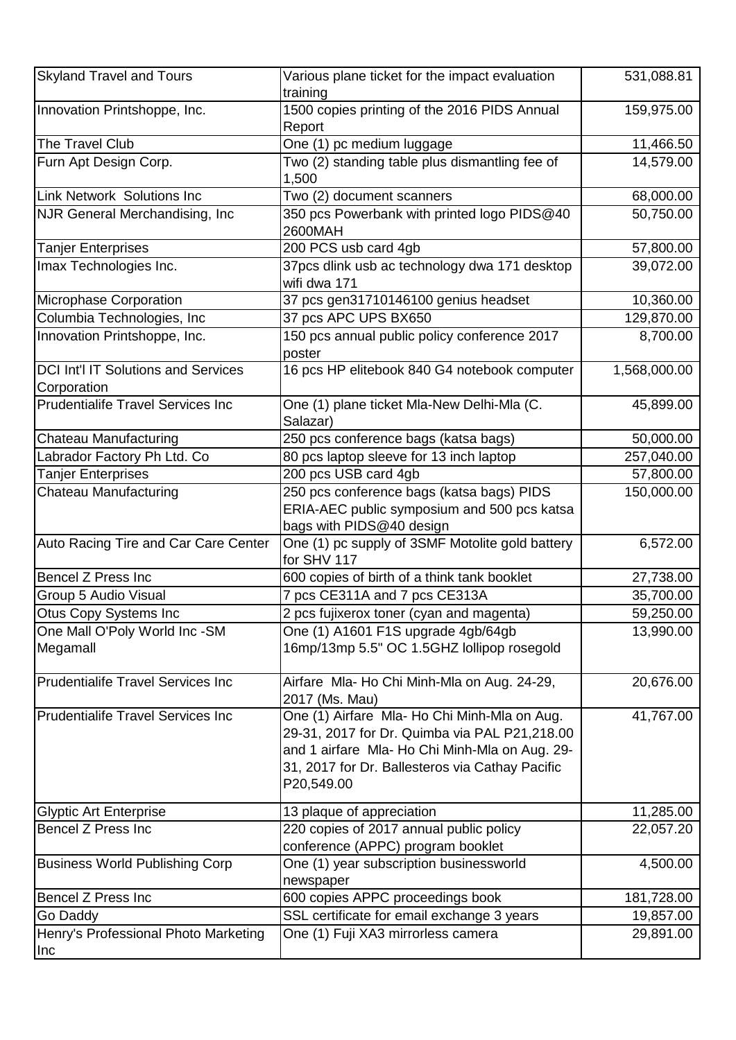| <b>Skyland Travel and Tours</b>                           | Various plane ticket for the impact evaluation<br>training                                                                                                                                                       | 531,088.81   |
|-----------------------------------------------------------|------------------------------------------------------------------------------------------------------------------------------------------------------------------------------------------------------------------|--------------|
| Innovation Printshoppe, Inc.                              | 1500 copies printing of the 2016 PIDS Annual<br>Report                                                                                                                                                           | 159,975.00   |
| The Travel Club                                           | One (1) pc medium luggage                                                                                                                                                                                        | 11,466.50    |
| Furn Apt Design Corp.                                     | Two (2) standing table plus dismantling fee of<br>1,500                                                                                                                                                          | 14,579.00    |
| <b>Link Network Solutions Inc</b>                         | Two (2) document scanners                                                                                                                                                                                        | 68,000.00    |
| <b>NJR General Merchandising, Inc</b>                     | 350 pcs Powerbank with printed logo PIDS@40<br>2600MAH                                                                                                                                                           | 50,750.00    |
| <b>Tanjer Enterprises</b>                                 | 200 PCS usb card 4gb                                                                                                                                                                                             | 57,800.00    |
| Imax Technologies Inc.                                    | 37pcs dlink usb ac technology dwa 171 desktop<br>wifi dwa 171                                                                                                                                                    | 39,072.00    |
| Microphase Corporation                                    | 37 pcs gen31710146100 genius headset                                                                                                                                                                             | 10,360.00    |
| Columbia Technologies, Inc.                               | 37 pcs APC UPS BX650                                                                                                                                                                                             | 129,870.00   |
| Innovation Printshoppe, Inc.                              | 150 pcs annual public policy conference 2017<br>poster                                                                                                                                                           | 8,700.00     |
| <b>DCI Int'l IT Solutions and Services</b><br>Corporation | 16 pcs HP elitebook 840 G4 notebook computer                                                                                                                                                                     | 1,568,000.00 |
| <b>Prudentialife Travel Services Inc</b>                  | One (1) plane ticket Mla-New Delhi-Mla (C.<br>Salazar)                                                                                                                                                           | 45,899.00    |
| Chateau Manufacturing                                     | 250 pcs conference bags (katsa bags)                                                                                                                                                                             | 50,000.00    |
| Labrador Factory Ph Ltd. Co                               | 80 pcs laptop sleeve for 13 inch laptop                                                                                                                                                                          | 257,040.00   |
| <b>Tanjer Enterprises</b>                                 | 200 pcs USB card 4gb                                                                                                                                                                                             | 57,800.00    |
| <b>Chateau Manufacturing</b>                              | 250 pcs conference bags (katsa bags) PIDS<br>ERIA-AEC public symposium and 500 pcs katsa<br>bags with PIDS@40 design                                                                                             | 150,000.00   |
| Auto Racing Tire and Car Care Center                      | One (1) pc supply of 3SMF Motolite gold battery<br>for SHV 117                                                                                                                                                   | 6,572.00     |
| <b>Bencel Z Press Inc</b>                                 | 600 copies of birth of a think tank booklet                                                                                                                                                                      | 27,738.00    |
| Group 5 Audio Visual                                      | 7 pcs CE311A and 7 pcs CE313A                                                                                                                                                                                    | 35,700.00    |
| Otus Copy Systems Inc                                     | 2 pcs fujixerox toner (cyan and magenta)                                                                                                                                                                         | 59,250.00    |
| One Mall O'Poly World Inc -SM<br>Megamall                 | One (1) A1601 F1S upgrade 4gb/64gb<br>16mp/13mp 5.5" OC 1.5GHZ lollipop rosegold                                                                                                                                 | 13,990.00    |
| <b>Prudentialife Travel Services Inc.</b>                 | Airfare Mla- Ho Chi Minh-Mla on Aug. 24-29,<br>2017 (Ms. Mau)                                                                                                                                                    | 20,676.00    |
| <b>Prudentialife Travel Services Inc.</b>                 | One (1) Airfare Mla- Ho Chi Minh-Mla on Aug.<br>29-31, 2017 for Dr. Quimba via PAL P21,218.00<br>and 1 airfare Mla- Ho Chi Minh-Mla on Aug. 29-<br>31, 2017 for Dr. Ballesteros via Cathay Pacific<br>P20,549.00 | 41,767.00    |
| <b>Glyptic Art Enterprise</b>                             | 13 plaque of appreciation                                                                                                                                                                                        | 11,285.00    |
| <b>Bencel Z Press Inc</b>                                 | 220 copies of 2017 annual public policy<br>conference (APPC) program booklet                                                                                                                                     | 22,057.20    |
| <b>Business World Publishing Corp</b>                     | One (1) year subscription businessworld<br>newspaper                                                                                                                                                             | 4,500.00     |
| <b>Bencel Z Press Inc</b>                                 | 600 copies APPC proceedings book                                                                                                                                                                                 | 181,728.00   |
| Go Daddy                                                  | SSL certificate for email exchange 3 years                                                                                                                                                                       | 19,857.00    |
| Henry's Professional Photo Marketing<br>Inc               | One (1) Fuji XA3 mirrorless camera                                                                                                                                                                               | 29,891.00    |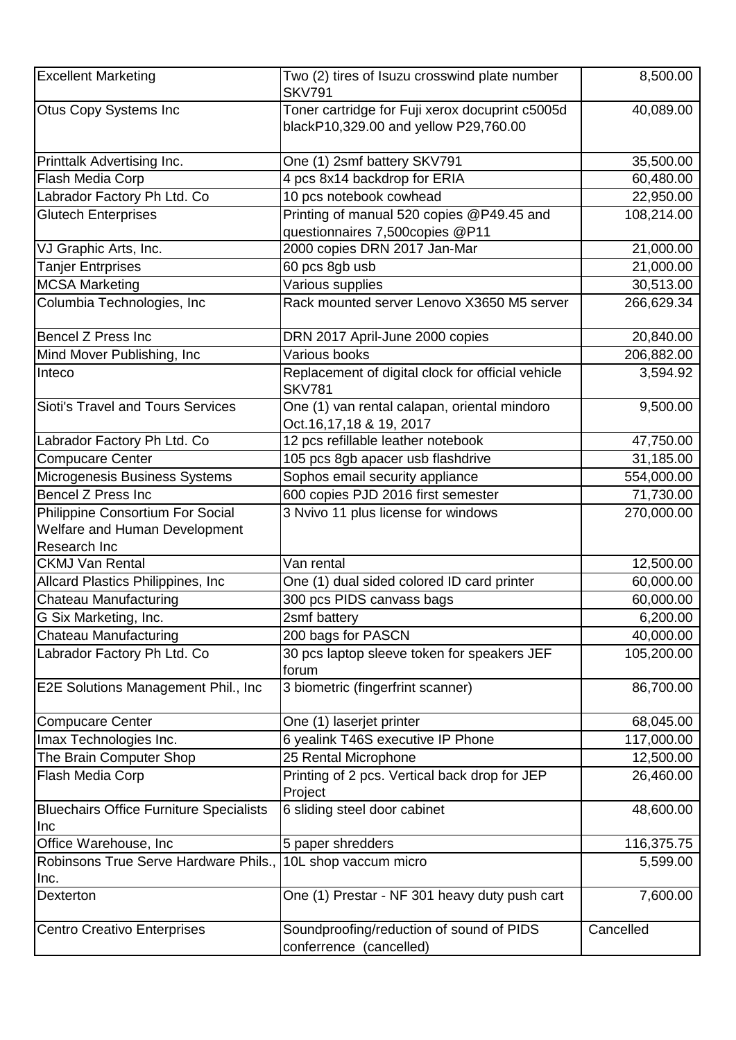| <b>Excellent Marketing</b>                            | Two (2) tires of Isuzu crosswind plate number<br><b>SKV791</b>                           | 8,500.00   |
|-------------------------------------------------------|------------------------------------------------------------------------------------------|------------|
| <b>Otus Copy Systems Inc</b>                          | Toner cartridge for Fuji xerox docuprint c5005d<br>blackP10,329.00 and yellow P29,760.00 | 40,089.00  |
| Printtalk Advertising Inc.                            | One (1) 2smf battery SKV791                                                              | 35,500.00  |
| Flash Media Corp                                      | 4 pcs 8x14 backdrop for ERIA                                                             | 60,480.00  |
| Labrador Factory Ph Ltd. Co                           | 10 pcs notebook cowhead                                                                  | 22,950.00  |
| <b>Glutech Enterprises</b>                            | Printing of manual 520 copies @P49.45 and<br>questionnaires 7,500copies @P11             | 108,214.00 |
| VJ Graphic Arts, Inc.                                 | 2000 copies DRN 2017 Jan-Mar                                                             | 21,000.00  |
| <b>Tanjer Entrprises</b>                              | 60 pcs 8gb usb                                                                           | 21,000.00  |
| <b>MCSA Marketing</b>                                 | Various supplies                                                                         | 30,513.00  |
| Columbia Technologies, Inc                            | Rack mounted server Lenovo X3650 M5 server                                               | 266,629.34 |
| <b>Bencel Z Press Inc</b>                             | DRN 2017 April-June 2000 copies                                                          | 20,840.00  |
| Mind Mover Publishing, Inc.                           | Various books                                                                            | 206,882.00 |
| Inteco                                                | Replacement of digital clock for official vehicle<br><b>SKV781</b>                       | 3,594.92   |
| Sioti's Travel and Tours Services                     | One (1) van rental calapan, oriental mindoro<br>Oct.16,17,18 & 19, 2017                  | 9,500.00   |
| Labrador Factory Ph Ltd. Co                           | 12 pcs refillable leather notebook                                                       | 47,750.00  |
| <b>Compucare Center</b>                               | 105 pcs 8gb apacer usb flashdrive                                                        | 31,185.00  |
| Microgenesis Business Systems                         | Sophos email security appliance                                                          | 554,000.00 |
| <b>Bencel Z Press Inc</b>                             | 600 copies PJD 2016 first semester                                                       | 71,730.00  |
| Philippine Consortium For Social                      | 3 Nvivo 11 plus license for windows                                                      | 270,000.00 |
| Welfare and Human Development                         |                                                                                          |            |
| Research Inc                                          |                                                                                          |            |
| <b>CKMJ Van Rental</b>                                | Van rental                                                                               | 12,500.00  |
| Allcard Plastics Philippines, Inc                     | One (1) dual sided colored ID card printer                                               | 60,000.00  |
| Chateau Manufacturing                                 | 300 pcs PIDS canvass bags                                                                | 60,000.00  |
| G Six Marketing, Inc.                                 | 2smf battery                                                                             | 6,200.00   |
| Chateau Manufacturing                                 | 200 bags for PASCN                                                                       | 40,000.00  |
| Labrador Factory Ph Ltd. Co                           | 30 pcs laptop sleeve token for speakers JEF<br>forum                                     | 105,200.00 |
| E2E Solutions Management Phil., Inc.                  | 3 biometric (fingerfrint scanner)                                                        | 86,700.00  |
| <b>Compucare Center</b>                               | One (1) laserjet printer                                                                 | 68,045.00  |
| Imax Technologies Inc.                                | 6 yealink T46S executive IP Phone                                                        | 117,000.00 |
| The Brain Computer Shop                               | 25 Rental Microphone                                                                     | 12,500.00  |
| Flash Media Corp                                      | Printing of 2 pcs. Vertical back drop for JEP<br>Project                                 | 26,460.00  |
| <b>Bluechairs Office Furniture Specialists</b><br>Inc | 6 sliding steel door cabinet                                                             | 48,600.00  |
| Office Warehouse, Inc                                 | 5 paper shredders                                                                        | 116,375.75 |
| Robinsons True Serve Hardware Phils.,                 | 10L shop vaccum micro                                                                    | 5,599.00   |
| Inc.                                                  |                                                                                          |            |
| Dexterton                                             | One (1) Prestar - NF 301 heavy duty push cart                                            | 7,600.00   |
| <b>Centro Creativo Enterprises</b>                    | Soundproofing/reduction of sound of PIDS<br>conferrence (cancelled)                      | Cancelled  |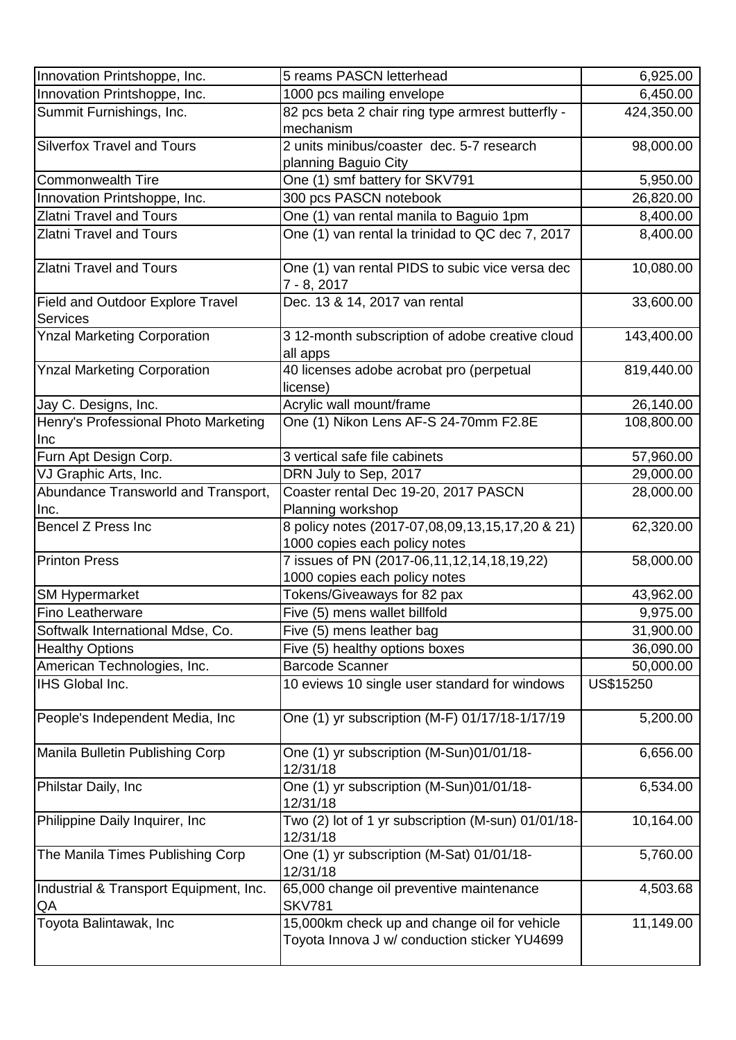| Innovation Printshoppe, Inc.                               | 5 reams PASCN letterhead                                                                     | 6,925.00   |
|------------------------------------------------------------|----------------------------------------------------------------------------------------------|------------|
| Innovation Printshoppe, Inc.                               | 1000 pcs mailing envelope                                                                    | 6,450.00   |
| Summit Furnishings, Inc.                                   | 82 pcs beta 2 chair ring type armrest butterfly -<br>mechanism                               | 424,350.00 |
| <b>Silverfox Travel and Tours</b>                          | 2 units minibus/coaster dec. 5-7 research<br>planning Baguio City                            | 98,000.00  |
| <b>Commonwealth Tire</b>                                   | One (1) smf battery for SKV791                                                               | 5,950.00   |
| Innovation Printshoppe, Inc.                               | 300 pcs PASCN notebook                                                                       | 26,820.00  |
| <b>Zlatni Travel and Tours</b>                             | One (1) van rental manila to Baguio 1pm                                                      | 8,400.00   |
| <b>Zlatni Travel and Tours</b>                             | One (1) van rental la trinidad to QC dec 7, 2017                                             | 8,400.00   |
| <b>Zlatni Travel and Tours</b>                             | One (1) van rental PIDS to subic vice versa dec<br>7 - 8, 2017                               | 10,080.00  |
| <b>Field and Outdoor Explore Travel</b><br><b>Services</b> | Dec. 13 & 14, 2017 van rental                                                                | 33,600.00  |
| <b>Ynzal Marketing Corporation</b>                         | 3 12-month subscription of adobe creative cloud<br>all apps                                  | 143,400.00 |
| <b>Ynzal Marketing Corporation</b>                         | 40 licenses adobe acrobat pro (perpetual<br>license)                                         | 819,440.00 |
| Jay C. Designs, Inc.                                       | Acrylic wall mount/frame                                                                     | 26,140.00  |
| Henry's Professional Photo Marketing<br><b>Inc</b>         | One (1) Nikon Lens AF-S 24-70mm F2.8E                                                        | 108,800.00 |
| Furn Apt Design Corp.                                      | 3 vertical safe file cabinets                                                                | 57,960.00  |
| VJ Graphic Arts, Inc.                                      | DRN July to Sep, 2017                                                                        | 29,000.00  |
| Abundance Transworld and Transport,<br>Inc.                | Coaster rental Dec 19-20, 2017 PASCN<br>Planning workshop                                    | 28,000.00  |
| Bencel Z Press Inc                                         | 8 policy notes (2017-07,08,09,13,15,17,20 & 21)<br>1000 copies each policy notes             | 62,320.00  |
| <b>Printon Press</b>                                       | 7 issues of PN (2017-06,11,12,14,18,19,22)<br>1000 copies each policy notes                  | 58,000.00  |
| <b>SM Hypermarket</b>                                      | Tokens/Giveaways for 82 pax                                                                  | 43,962.00  |
| Fino Leatherware                                           | Five (5) mens wallet billfold                                                                | 9,975.00   |
| Softwalk International Mdse, Co.                           | Five (5) mens leather bag                                                                    | 31,900.00  |
| <b>Healthy Options</b>                                     | Five (5) healthy options boxes                                                               | 36,090.00  |
| American Technologies, Inc.                                | <b>Barcode Scanner</b>                                                                       | 50,000.00  |
| IHS Global Inc.                                            | 10 eviews 10 single user standard for windows                                                | US\$15250  |
| People's Independent Media, Inc.                           | One (1) yr subscription (M-F) 01/17/18-1/17/19                                               | 5,200.00   |
| Manila Bulletin Publishing Corp                            | One (1) yr subscription (M-Sun)01/01/18-<br>12/31/18                                         | 6,656.00   |
| Philstar Daily, Inc                                        | One (1) yr subscription (M-Sun)01/01/18-<br>12/31/18                                         | 6,534.00   |
| Philippine Daily Inquirer, Inc.                            | Two (2) lot of 1 yr subscription (M-sun) 01/01/18-<br>12/31/18                               | 10,164.00  |
| The Manila Times Publishing Corp                           | One (1) yr subscription (M-Sat) 01/01/18-<br>12/31/18                                        | 5,760.00   |
| Industrial & Transport Equipment, Inc.<br>QA               | 65,000 change oil preventive maintenance<br><b>SKV781</b>                                    | 4,503.68   |
| Toyota Balintawak, Inc                                     | 15,000km check up and change oil for vehicle<br>Toyota Innova J w/ conduction sticker YU4699 | 11,149.00  |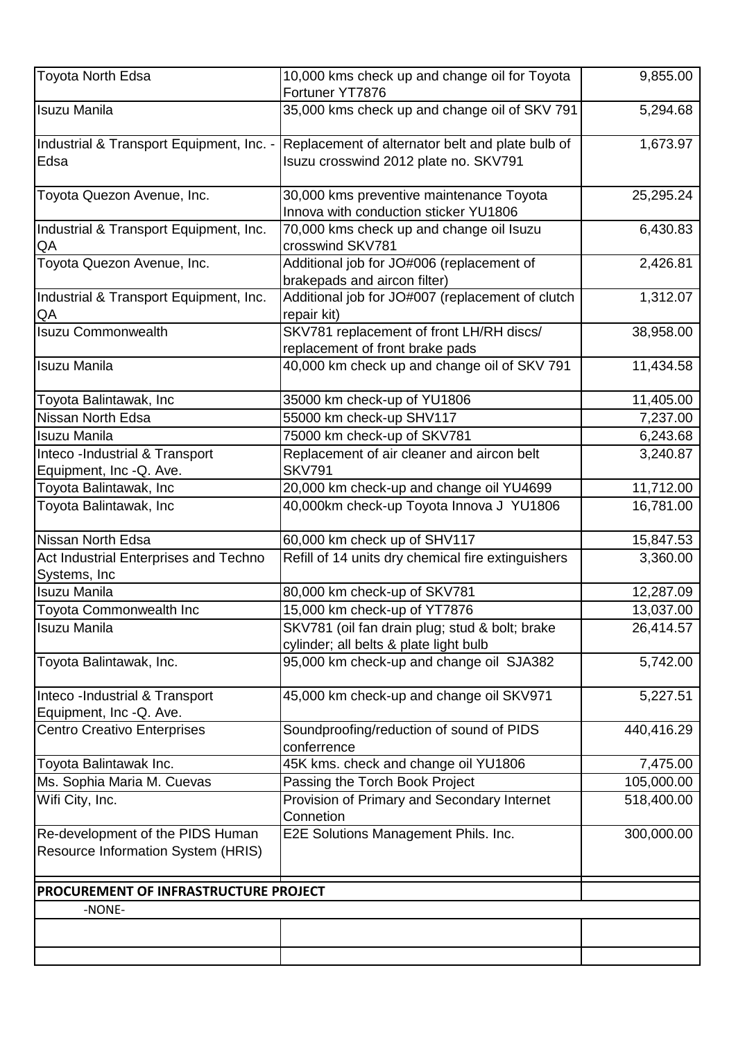| Toyota North Edsa                                                             | 10,000 kms check up and change oil for Toyota<br>Fortuner YT7876                          | 9,855.00               |
|-------------------------------------------------------------------------------|-------------------------------------------------------------------------------------------|------------------------|
| <b>Isuzu Manila</b>                                                           | 35,000 kms check up and change oil of SKV 791                                             | 5,294.68               |
| Industrial & Transport Equipment, Inc. -<br>Edsa                              | Replacement of alternator belt and plate bulb of<br>Isuzu crosswind 2012 plate no. SKV791 | 1,673.97               |
| Toyota Quezon Avenue, Inc.                                                    | 30,000 kms preventive maintenance Toyota<br>Innova with conduction sticker YU1806         | 25,295.24              |
| Industrial & Transport Equipment, Inc.<br>QA                                  | 70,000 kms check up and change oil Isuzu<br>crosswind SKV781                              | 6,430.83               |
| Toyota Quezon Avenue, Inc.                                                    | Additional job for JO#006 (replacement of<br>brakepads and aircon filter)                 | 2,426.81               |
| Industrial & Transport Equipment, Inc.<br>QA                                  | Additional job for JO#007 (replacement of clutch<br>repair kit)                           | 1,312.07               |
| <b>Isuzu Commonwealth</b>                                                     | SKV781 replacement of front LH/RH discs/<br>replacement of front brake pads               | 38,958.00              |
| <b>Isuzu Manila</b>                                                           | 40,000 km check up and change oil of SKV 791                                              | 11,434.58              |
| Toyota Balintawak, Inc                                                        | 35000 km check-up of YU1806                                                               | 11,405.00              |
| Nissan North Edsa                                                             | 55000 km check-up SHV117                                                                  | 7,237.00               |
| <b>Isuzu Manila</b>                                                           | 75000 km check-up of SKV781                                                               | 6,243.68               |
| Inteco -Industrial & Transport                                                | Replacement of air cleaner and aircon belt                                                | 3,240.87               |
| Equipment, Inc -Q. Ave.                                                       | <b>SKV791</b>                                                                             |                        |
| Toyota Balintawak, Inc                                                        | 20,000 km check-up and change oil YU4699                                                  | 11,712.00              |
| Toyota Balintawak, Inc                                                        | 40,000km check-up Toyota Innova J YU1806                                                  | 16,781.00              |
| Nissan North Edsa                                                             | 60,000 km check up of SHV117                                                              | 15,847.53              |
| Act Industrial Enterprises and Techno                                         | Refill of 14 units dry chemical fire extinguishers                                        | 3,360.00               |
| Systems, Inc<br><b>Isuzu Manila</b>                                           |                                                                                           |                        |
| Toyota Commonwealth Inc                                                       | 80,000 km check-up of SKV781<br>15,000 km check-up of YT7876                              | 12,287.09<br>13,037.00 |
| <b>Isuzu Manila</b>                                                           |                                                                                           | 26,414.57              |
|                                                                               | SKV781 (oil fan drain plug; stud & bolt; brake<br>cylinder; all belts & plate light bulb  |                        |
| Toyota Balintawak, Inc.                                                       | 95,000 km check-up and change oil SJA382                                                  | 5,742.00               |
| Inteco -Industrial & Transport<br>Equipment, Inc -Q. Ave.                     | 45,000 km check-up and change oil SKV971                                                  | 5,227.51               |
| <b>Centro Creativo Enterprises</b>                                            | Soundproofing/reduction of sound of PIDS<br>conferrence                                   | 440,416.29             |
| Toyota Balintawak Inc.                                                        | 45K kms. check and change oil YU1806                                                      | 7,475.00               |
| Ms. Sophia Maria M. Cuevas                                                    | Passing the Torch Book Project                                                            | 105,000.00             |
| Wifi City, Inc.                                                               | Provision of Primary and Secondary Internet<br>Connetion                                  | 518,400.00             |
| Re-development of the PIDS Human<br><b>Resource Information System (HRIS)</b> | E2E Solutions Management Phils. Inc.                                                      | 300,000.00             |
| PROCUREMENT OF INFRASTRUCTURE PROJECT                                         |                                                                                           |                        |
| -NONE-                                                                        |                                                                                           |                        |
|                                                                               |                                                                                           |                        |
|                                                                               |                                                                                           |                        |